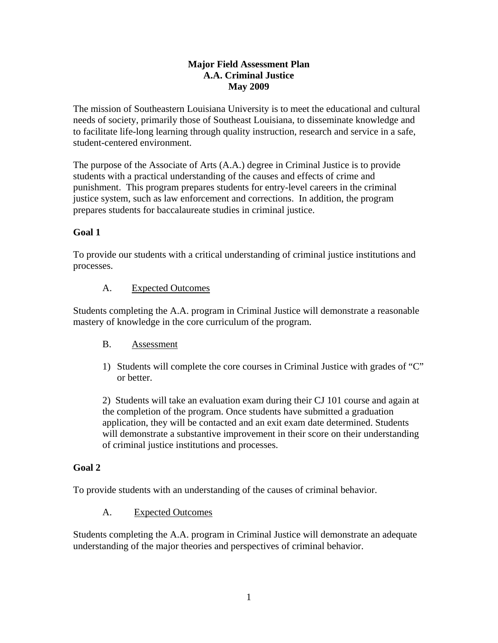## **Major Field Assessment Plan A.A. Criminal Justice May 2009**

The mission of Southeastern Louisiana University is to meet the educational and cultural needs of society, primarily those of Southeast Louisiana, to disseminate knowledge and to facilitate life-long learning through quality instruction, research and service in a safe, student-centered environment.

The purpose of the Associate of Arts (A.A.) degree in Criminal Justice is to provide students with a practical understanding of the causes and effects of crime and punishment. This program prepares students for entry-level careers in the criminal justice system, such as law enforcement and corrections. In addition, the program prepares students for baccalaureate studies in criminal justice.

# **Goal 1**

To provide our students with a critical understanding of criminal justice institutions and processes.

## A. Expected Outcomes

Students completing the A.A. program in Criminal Justice will demonstrate a reasonable mastery of knowledge in the core curriculum of the program.

## B. Assessment

1) Students will complete the core courses in Criminal Justice with grades of "C" or better.

2) Students will take an evaluation exam during their CJ 101 course and again at the completion of the program. Once students have submitted a graduation application, they will be contacted and an exit exam date determined. Students will demonstrate a substantive improvement in their score on their understanding of criminal justice institutions and processes.

## **Goal 2**

To provide students with an understanding of the causes of criminal behavior.

## A. Expected Outcomes

Students completing the A.A. program in Criminal Justice will demonstrate an adequate understanding of the major theories and perspectives of criminal behavior.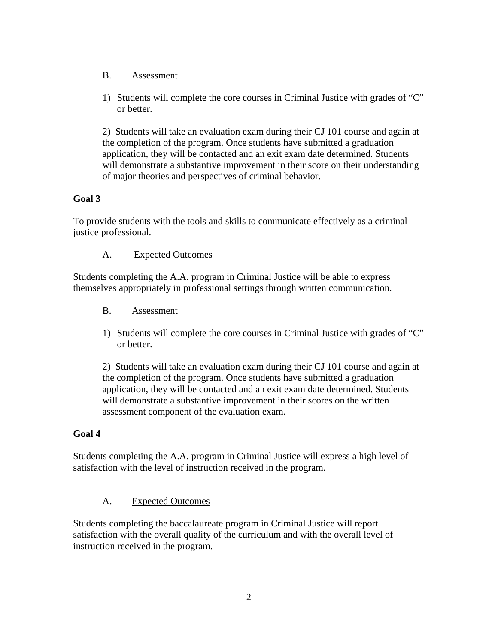- B. Assessment
- 1) Students will complete the core courses in Criminal Justice with grades of "C" or better.

2) Students will take an evaluation exam during their CJ 101 course and again at the completion of the program. Once students have submitted a graduation application, they will be contacted and an exit exam date determined. Students will demonstrate a substantive improvement in their score on their understanding of major theories and perspectives of criminal behavior.

## **Goal 3**

To provide students with the tools and skills to communicate effectively as a criminal justice professional.

#### A. Expected Outcomes

Students completing the A.A. program in Criminal Justice will be able to express themselves appropriately in professional settings through written communication.

#### B. Assessment

1) Students will complete the core courses in Criminal Justice with grades of "C" or better.

2) Students will take an evaluation exam during their CJ 101 course and again at the completion of the program. Once students have submitted a graduation application, they will be contacted and an exit exam date determined. Students will demonstrate a substantive improvement in their scores on the written assessment component of the evaluation exam.

## **Goal 4**

Students completing the A.A. program in Criminal Justice will express a high level of satisfaction with the level of instruction received in the program.

## A. Expected Outcomes

Students completing the baccalaureate program in Criminal Justice will report satisfaction with the overall quality of the curriculum and with the overall level of instruction received in the program.